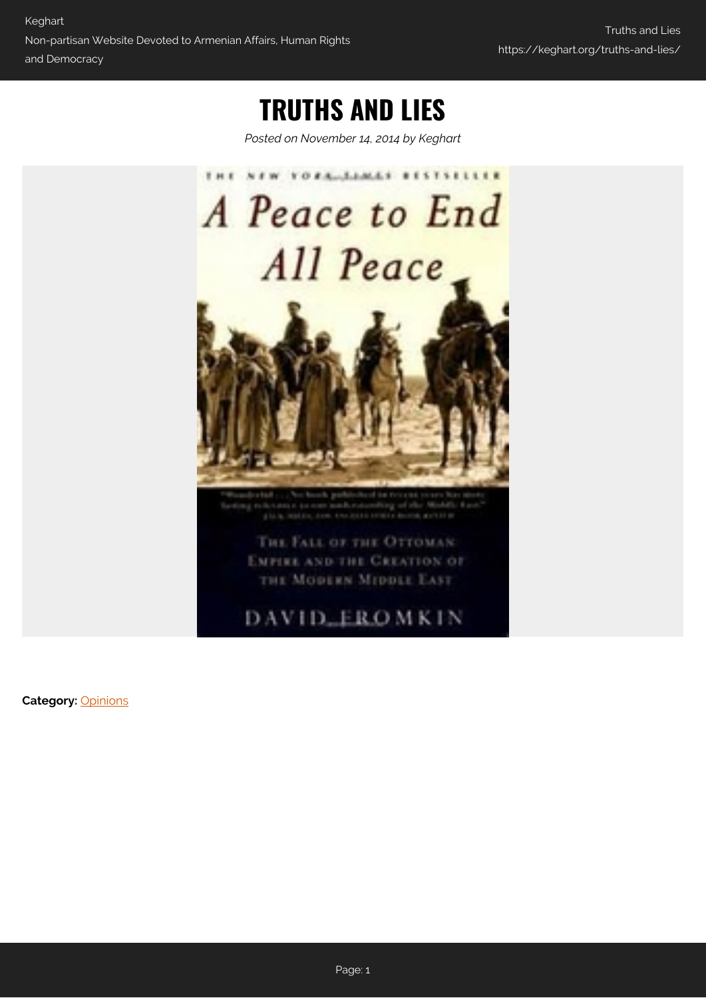## **TRUTHS AND LIES**

*Posted on November 14, 2014 by Keghart*



DAVID EROMKIN

**Category:** [Opinions](https://keghart.org/category/opinions/)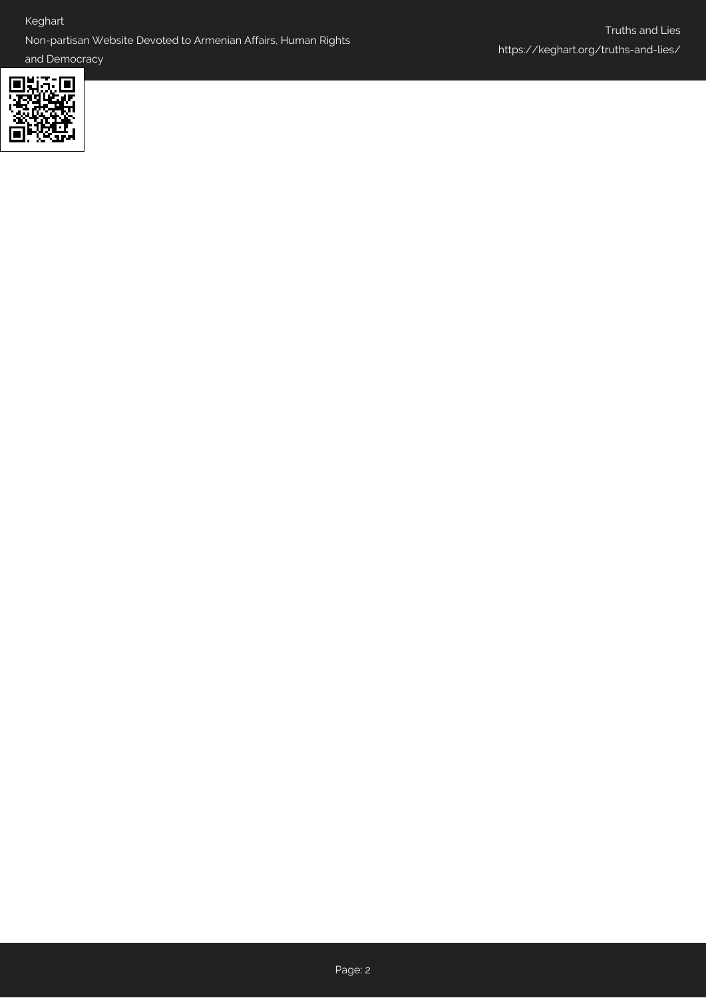Non-partisan Website Devoted to Armenian Affairs, Human Rights

and Democracy

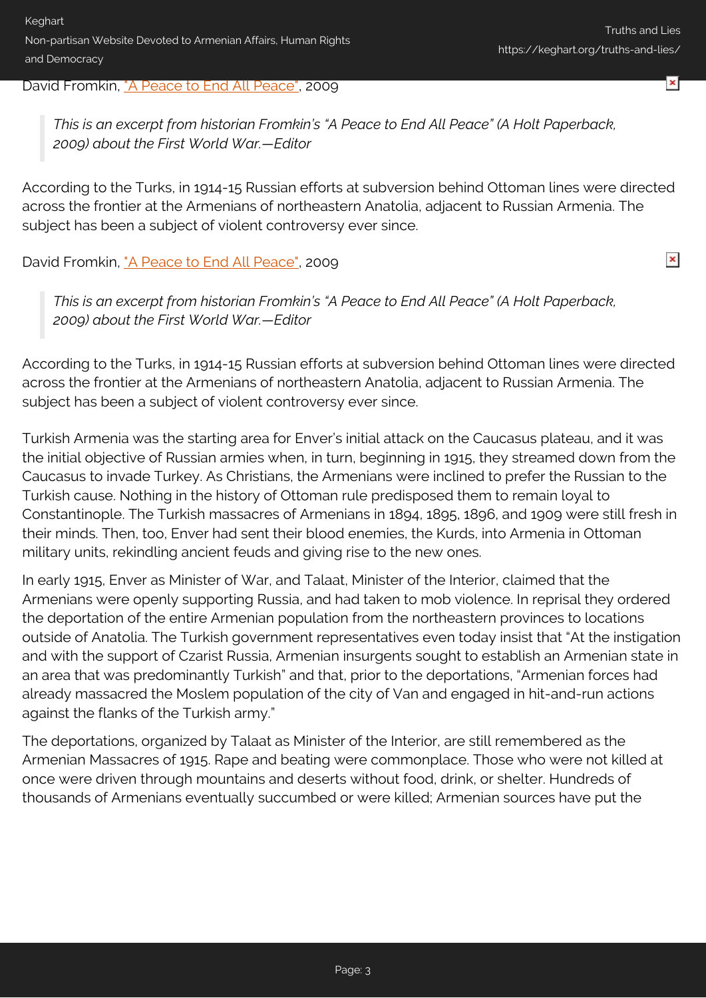## David Fromkin, ["A Peace to End All Peace",](http://www.amazon.com/Peace-End-All-Ottoman-Creation/dp/0805068848/ref=sr_1_2?ie=UTF8&qid=1416198288&sr=8-2&keywords=Fromkin%2C+%22A+Peace+to+End+All+Peace%22) 2009

*This is an excerpt from historian Fromkin's "A Peace to End All Peace" (A Holt Paperback, 2009) about the First World War.—Editor*

According to the Turks, in 1914-15 Russian efforts at subversion behind Ottoman lines were directed across the frontier at the Armenians of northeastern Anatolia, adjacent to Russian Armenia. The subject has been a subject of violent controversy ever since.

David Fromkin, ["A Peace to End All Peace",](http://www.amazon.com/Peace-End-All-Ottoman-Creation/dp/0805068848/ref=sr_1_2?ie=UTF8&qid=1416198288&sr=8-2&keywords=Fromkin%2C+%22A+Peace+to+End+All+Peace%22) 2009

*This is an excerpt from historian Fromkin's "A Peace to End All Peace" (A Holt Paperback, 2009) about the First World War.—Editor*

According to the Turks, in 1914-15 Russian efforts at subversion behind Ottoman lines were directed across the frontier at the Armenians of northeastern Anatolia, adjacent to Russian Armenia. The subject has been a subject of violent controversy ever since.

Turkish Armenia was the starting area for Enver's initial attack on the Caucasus plateau, and it was the initial objective of Russian armies when, in turn, beginning in 1915, they streamed down from the Caucasus to invade Turkey. As Christians, the Armenians were inclined to prefer the Russian to the Turkish cause. Nothing in the history of Ottoman rule predisposed them to remain loyal to Constantinople. The Turkish massacres of Armenians in 1894, 1895, 1896, and 1909 were still fresh in their minds. Then, too, Enver had sent their blood enemies, the Kurds, into Armenia in Ottoman military units, rekindling ancient feuds and giving rise to the new ones.

In early 1915, Enver as Minister of War, and Talaat, Minister of the Interior, claimed that the Armenians were openly supporting Russia, and had taken to mob violence. In reprisal they ordered the deportation of the entire Armenian population from the northeastern provinces to locations outside of Anatolia. The Turkish government representatives even today insist that "At the instigation and with the support of Czarist Russia, Armenian insurgents sought to establish an Armenian state in an area that was predominantly Turkish" and that, prior to the deportations, "Armenian forces had already massacred the Moslem population of the city of Van and engaged in hit-and-run actions against the flanks of the Turkish army."

The deportations, organized by Talaat as Minister of the Interior, are still remembered as the Armenian Massacres of 1915. Rape and beating were commonplace. Those who were not killed at once were driven through mountains and deserts without food, drink, or shelter. Hundreds of thousands of Armenians eventually succumbed or were killed; Armenian sources have put the

 $\pmb{\times}$ 

 $\pmb{\times}$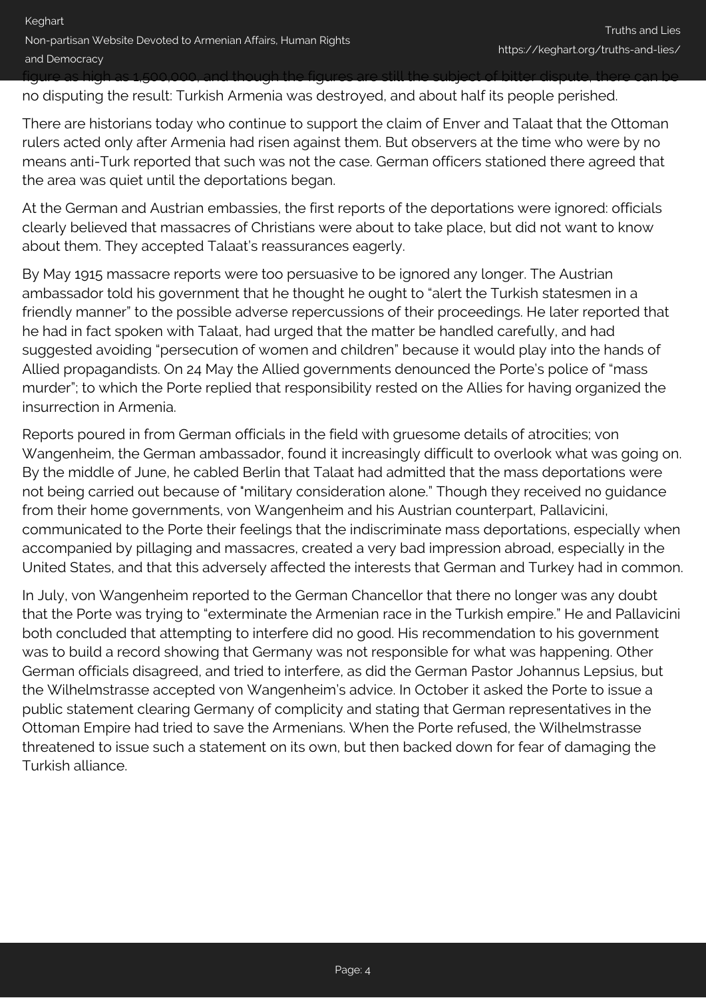no disputing the result: Turkish Armenia was destroyed, and about half its people perished.

There are historians today who continue to support the claim of Enver and Talaat that the Ottoman rulers acted only after Armenia had risen against them. But observers at the time who were by no means anti-Turk reported that such was not the case. German officers stationed there agreed that the area was quiet until the deportations began.

At the German and Austrian embassies, the first reports of the deportations were ignored: officials clearly believed that massacres of Christians were about to take place, but did not want to know about them. They accepted Talaat's reassurances eagerly.

By May 1915 massacre reports were too persuasive to be ignored any longer. The Austrian ambassador told his government that he thought he ought to "alert the Turkish statesmen in a friendly manner" to the possible adverse repercussions of their proceedings. He later reported that he had in fact spoken with Talaat, had urged that the matter be handled carefully, and had suggested avoiding "persecution of women and children" because it would play into the hands of Allied propagandists. On 24 May the Allied governments denounced the Porte's police of "mass murder"; to which the Porte replied that responsibility rested on the Allies for having organized the insurrection in Armenia.

Reports poured in from German officials in the field with gruesome details of atrocities; von Wangenheim, the German ambassador, found it increasingly difficult to overlook what was going on. By the middle of June, he cabled Berlin that Talaat had admitted that the mass deportations were not being carried out because of "military consideration alone." Though they received no guidance from their home governments, von Wangenheim and his Austrian counterpart, Pallavicini, communicated to the Porte their feelings that the indiscriminate mass deportations, especially when accompanied by pillaging and massacres, created a very bad impression abroad, especially in the United States, and that this adversely affected the interests that German and Turkey had in common.

In July, von Wangenheim reported to the German Chancellor that there no longer was any doubt that the Porte was trying to "exterminate the Armenian race in the Turkish empire." He and Pallavicini both concluded that attempting to interfere did no good. His recommendation to his government was to build a record showing that Germany was not responsible for what was happening. Other German officials disagreed, and tried to interfere, as did the German Pastor Johannus Lepsius, but the Wilhelmstrasse accepted von Wangenheim's advice. In October it asked the Porte to issue a public statement clearing Germany of complicity and stating that German representatives in the Ottoman Empire had tried to save the Armenians. When the Porte refused, the Wilhelmstrasse threatened to issue such a statement on its own, but then backed down for fear of damaging the Turkish alliance.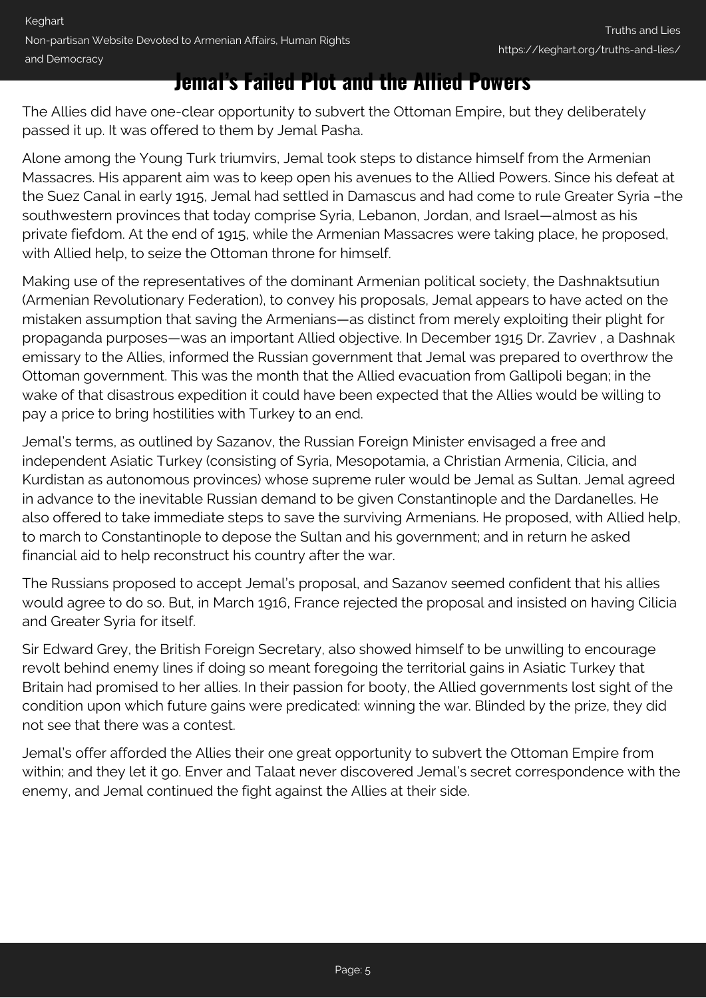## **Jemal's Failed Plot and the Allied Powers**

The Allies did have one-clear opportunity to subvert the Ottoman Empire, but they deliberately passed it up. It was offered to them by Jemal Pasha.

Alone among the Young Turk triumvirs, Jemal took steps to distance himself from the Armenian Massacres. His apparent aim was to keep open his avenues to the Allied Powers. Since his defeat at the Suez Canal in early 1915, Jemal had settled in Damascus and had come to rule Greater Syria –the southwestern provinces that today comprise Syria, Lebanon, Jordan, and Israel—almost as his private fiefdom. At the end of 1915, while the Armenian Massacres were taking place, he proposed, with Allied help, to seize the Ottoman throne for himself.

Making use of the representatives of the dominant Armenian political society, the Dashnaktsutiun (Armenian Revolutionary Federation), to convey his proposals, Jemal appears to have acted on the mistaken assumption that saving the Armenians—as distinct from merely exploiting their plight for propaganda purposes—was an important Allied objective. In December 1915 Dr. Zavriev , a Dashnak emissary to the Allies, informed the Russian government that Jemal was prepared to overthrow the Ottoman government. This was the month that the Allied evacuation from Gallipoli began; in the wake of that disastrous expedition it could have been expected that the Allies would be willing to pay a price to bring hostilities with Turkey to an end.

Jemal's terms, as outlined by Sazanov, the Russian Foreign Minister envisaged a free and independent Asiatic Turkey (consisting of Syria, Mesopotamia, a Christian Armenia, Cilicia, and Kurdistan as autonomous provinces) whose supreme ruler would be Jemal as Sultan. Jemal agreed in advance to the inevitable Russian demand to be given Constantinople and the Dardanelles. He also offered to take immediate steps to save the surviving Armenians. He proposed, with Allied help, to march to Constantinople to depose the Sultan and his government; and in return he asked financial aid to help reconstruct his country after the war.

The Russians proposed to accept Jemal's proposal, and Sazanov seemed confident that his allies would agree to do so. But, in March 1916, France rejected the proposal and insisted on having Cilicia and Greater Syria for itself.

Sir Edward Grey, the British Foreign Secretary, also showed himself to be unwilling to encourage revolt behind enemy lines if doing so meant foregoing the territorial gains in Asiatic Turkey that Britain had promised to her allies. In their passion for booty, the Allied governments lost sight of the condition upon which future gains were predicated: winning the war. Blinded by the prize, they did not see that there was a contest.

Jemal's offer afforded the Allies their one great opportunity to subvert the Ottoman Empire from within; and they let it go. Enver and Talaat never discovered Jemal's secret correspondence with the enemy, and Jemal continued the fight against the Allies at their side.